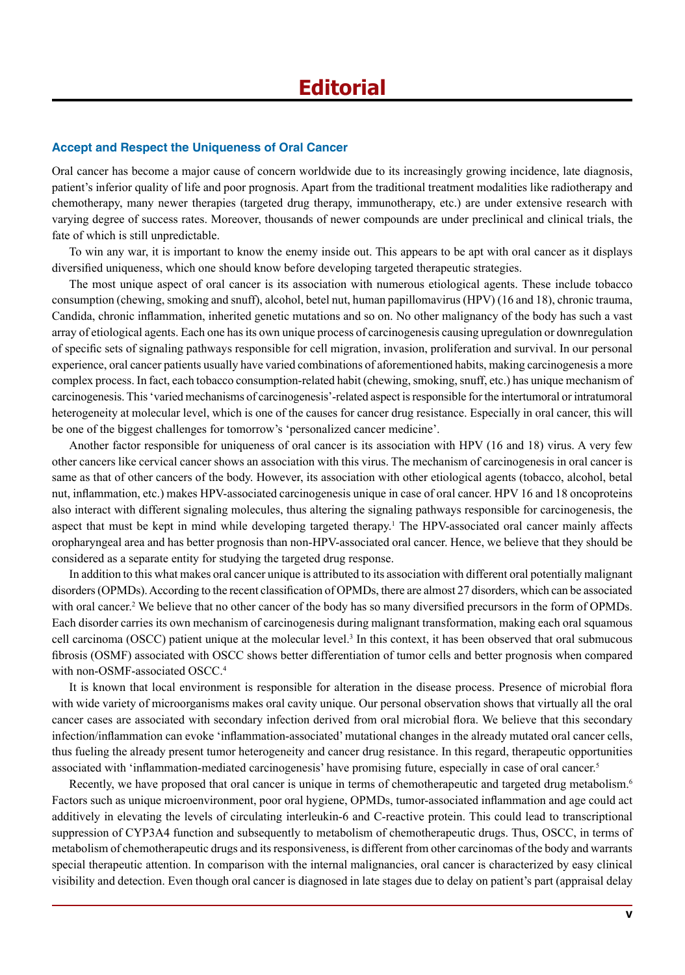### **Accept and Respect the Uniqueness of Oral Cancer**

Oral cancer has become a major cause of concern worldwide due to its increasingly growing incidence, late diagnosis, patient's inferior quality of life and poor prognosis. Apart from the traditional treatment modalities like radiotherapy and chemotherapy, many newer therapies (targeted drug therapy, immunotherapy, etc.) are under extensive research with varying degree of success rates. Moreover, thousands of newer compounds are under preclinical and clinical trials, the fate of which is still unpredictable.

To win any war, it is important to know the enemy inside out. This appears to be apt with oral cancer as it displays diversified uniqueness, which one should know before developing targeted therapeutic strategies.

The most unique aspect of oral cancer is its association with numerous etiological agents. These include tobacco consumption (chewing, smoking and snuff), alcohol, betel nut, human papillomavirus (HPV) (16 and 18), chronic trauma, Candida, chronic inflammation, inherited genetic mutations and so on. No other malignancy of the body has such a vast array of etiological agents. Each one has its own unique process of carcinogenesis causing upregulation or downregulation of specific sets of signaling pathways responsible for cell migration, invasion, proliferation and survival. In our personal experience, oral cancer patients usually have varied combinations of aforementioned habits, making carcinogenesis a more complex process. In fact, each tobacco consumption-related habit (chewing, smoking, snuff, etc.) has unique mechanism of carcinogenesis. This 'varied mechanisms of carcinogenesis'-related aspect is responsible for the intertumoral or intratumoral heterogeneity at molecular level, which is one of the causes for cancer drug resistance. Especially in oral cancer, this will be one of the biggest challenges for tomorrow's 'personalized cancer medicine'.

Another factor responsible for uniqueness of oral cancer is its association with HPV (16 and 18) virus. A very few other cancers like cervical cancer shows an association with this virus. The mechanism of carcinogenesis in oral cancer is same as that of other cancers of the body. However, its association with other etiological agents (tobacco, alcohol, betal nut, inflammation, etc.) makes HPV-associated carcinogenesis unique in case of oral cancer. HPV 16 and 18 oncoproteins also interact with different signaling molecules, thus altering the signaling pathways responsible for carcinogenesis, the aspect that must be kept in mind while developing targeted therapy.<sup>1</sup> The HPV-associated oral cancer mainly affects oropharyngeal area and has better prognosis than non-HPV-associated oral cancer. Hence, we believe that they should be considered as a separate entity for studying the targeted drug response.

In addition to this what makes oral cancer unique is attributed to its association with different oral potentially malignant disorders (OPMDs). According to the recent classification of OPMDs, there are almost 27 disorders, which can be associated with oral cancer.<sup>2</sup> We believe that no other cancer of the body has so many diversified precursors in the form of OPMDs. Each disorder carries its own mechanism of carcinogenesis during malignant transformation, making each oral squamous cell carcinoma (OSCC) patient unique at the molecular level.<sup>3</sup> In this context, it has been observed that oral submucous fibrosis (OSMF) associated with OSCC shows better differentiation of tumor cells and better prognosis when compared with non-OSMF-associated OSCC.<sup>4</sup>

It is known that local environment is responsible for alteration in the disease process. Presence of microbial flora with wide variety of microorganisms makes oral cavity unique. Our personal observation shows that virtually all the oral cancer cases are associated with secondary infection derived from oral microbial flora. We believe that this secondary infection/inflammation can evoke 'inflammation-associated' mutational changes in the already mutated oral cancer cells, thus fueling the already present tumor heterogeneity and cancer drug resistance. In this regard, therapeutic opportunities associated with 'inflammation-mediated carcinogenesis' have promising future, especially in case of oral cancer.<sup>5</sup>

Recently, we have proposed that oral cancer is unique in terms of chemotherapeutic and targeted drug metabolism.<sup>6</sup> Factors such as unique microenvironment, poor oral hygiene, OPMDs, tumor-associated inflammation and age could act additively in elevating the levels of circulating interleukin-6 and C-reactive protein. This could lead to transcriptional suppression of CYP3A4 function and subsequently to metabolism of chemotherapeutic drugs. Thus, OSCC, in terms of metabolism of chemotherapeutic drugs and its responsiveness, is different from other carcinomas of the body and warrants special therapeutic attention. In comparison with the internal malignancies, oral cancer is characterized by easy clinical visibility and detection. Even though oral cancer is diagnosed in late stages due to delay on patient's part (appraisal delay